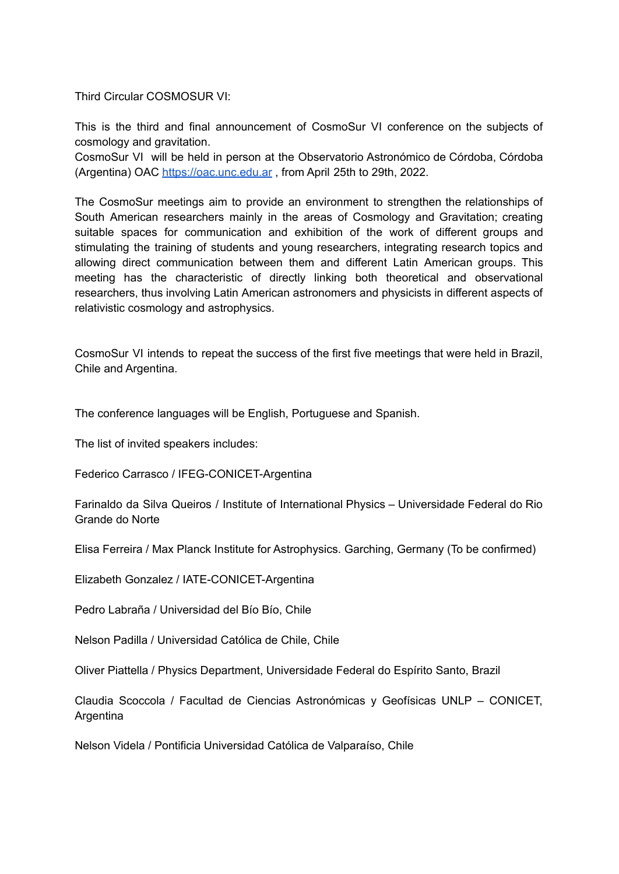Third Circular COSMOSUR VI:

This is the third and final announcement of CosmoSur VI conference on the subjects of cosmology and gravitation.

CosmoSur VI will be held in person at the Observatorio Astronómico de Córdoba, Córdoba (Argentina) OAC <https://oac.unc.edu.ar> , from April 25th to 29th, 2022.

The CosmoSur meetings aim to provide an environment to strengthen the relationships of South American researchers mainly in the areas of Cosmology and Gravitation; creating suitable spaces for communication and exhibition of the work of different groups and stimulating the training of students and young researchers, integrating research topics and allowing direct communication between them and different Latin American groups. This meeting has the characteristic of directly linking both theoretical and observational researchers, thus involving Latin American astronomers and physicists in different aspects of relativistic cosmology and astrophysics.

CosmoSur VI intends to repeat the success of the first five meetings that were held in Brazil, Chile and Argentina.

The conference languages will be English, Portuguese and Spanish.

The list of invited speakers includes:

Federico Carrasco / IFEG-CONICET-Argentina

Farinaldo da Silva Queiros / Institute of International Physics – Universidade Federal do Rio Grande do Norte

Elisa Ferreira / Max Planck Institute for Astrophysics. Garching, Germany (To be confirmed)

Elizabeth Gonzalez / IATE-CONICET-Argentina

Pedro Labraña / Universidad del Bío Bío, Chile

Nelson Padilla / Universidad Católica de Chile, Chile

Oliver Piattella / Physics Department, Universidade Federal do Espírito Santo, Brazil

Claudia Scoccola / Facultad de Ciencias Astronómicas y Geofísicas UNLP – CONICET, Argentina

Nelson Videla / Pontificia Universidad Católica de Valparaíso, Chile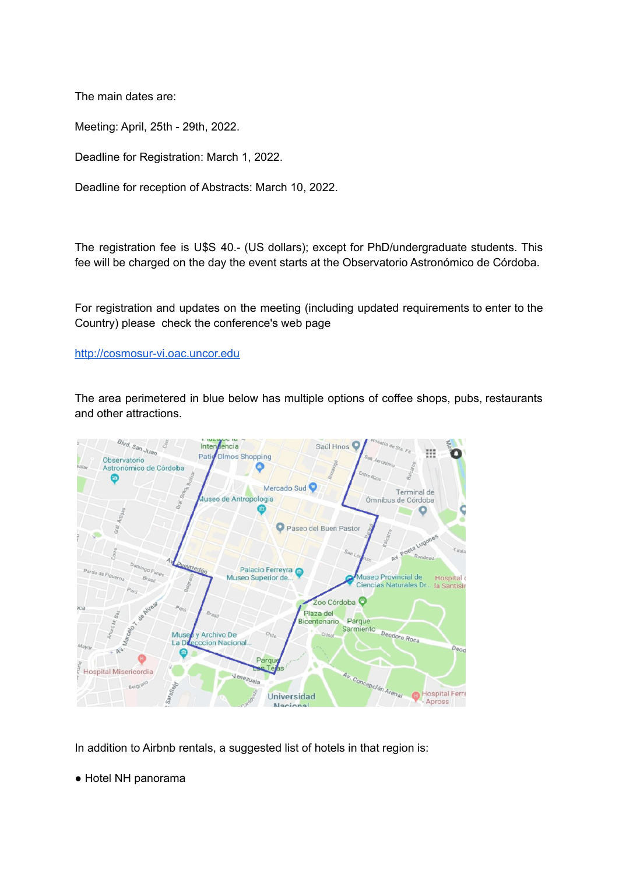The main dates are:

Meeting: April, 25th - 29th, 2022.

Deadline for Registration: March 1, 2022.

Deadline for reception of Abstracts: March 10, 2022.

The registration fee is U\$S 40.- (US dollars); except for PhD/undergraduate students. This fee will be charged on the day the event starts at the Observatorio Astronómico de Córdoba.

For registration and updates on the meeting (including updated requirements to enter to the Country) please check the conference's web page

## [http://cosmosur-vi.oac.uncor.edu](http://cosmosur-vi.oac.uncor.edu/)

The area perimetered in blue below has multiple options of coffee shops, pubs, restaurants and other attractions.



In addition to Airbnb rentals, a suggested list of hotels in that region is:

● Hotel NH panorama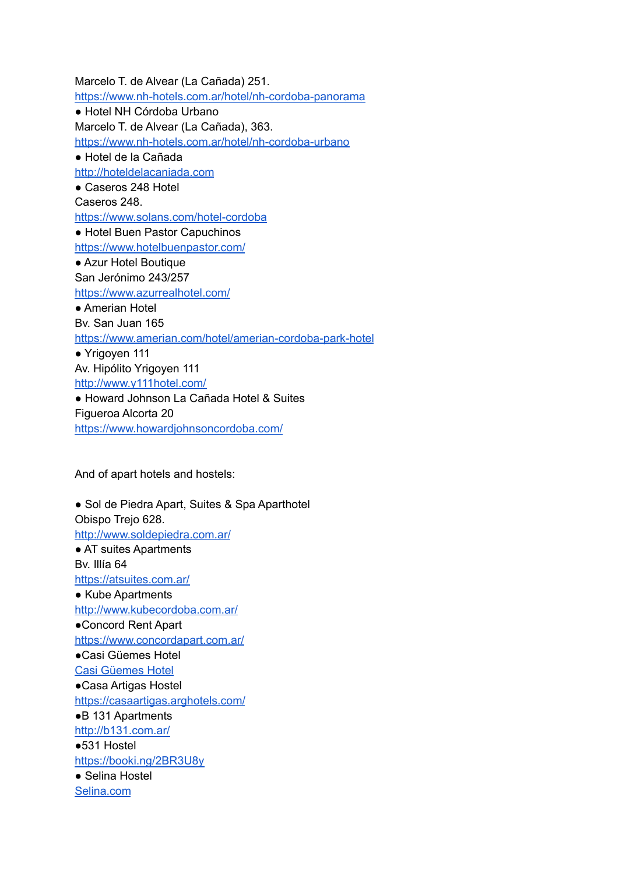Marcelo T. de Alvear (La Cañada) 251. <https://www.nh-hotels.com.ar/hotel/nh-cordoba-panorama> ● Hotel NH Córdoba Urbano Marcelo T. de Alvear (La Cañada), 363. <https://www.nh-hotels.com.ar/hotel/nh-cordoba-urbano> ● Hotel de la Cañada <http://hoteldelacaniada.com> ● Caseros 248 Hotel Caseros 248. <https://www.solans.com/hotel-cordoba> ● Hotel Buen Pastor Capuchinos <https://www.hotelbuenpastor.com/> ● Azur Hotel Boutique San Jerónimo 243/257 <https://www.azurrealhotel.com/> ● Amerian Hotel Bv. San Juan 165 <https://www.amerian.com/hotel/amerian-cordoba-park-hotel> ● Yrigoyen 111 Av. Hipólito Yrigoyen 111 <http://www.y111hotel.com/> ● Howard Johnson La Cañada Hotel & Suites Figueroa Alcorta 20 <https://www.howardjohnsoncordoba.com/>

And of apart hotels and hostels:

● Sol de Piedra Apart, Suites & Spa Aparthotel Obispo Trejo 628. <http://www.soldepiedra.com.ar/> ● AT suites Apartments Bv. Illía 64 <https://atsuites.com.ar/> ● Kube Apartments <http://www.kubecordoba.com.ar/> ●Concord Rent Apart <https://www.concordapart.com.ar/> ●Casi Güemes Hotel Casi [Güemes](https://www.booking.com/hotel/ar/la-reserva-cordoba.es.html?aid=1288287;label=metagha-link-MRAR-hotel-550538_dev-desktop_los-1_bw-28_dow-Wednesday_defdate-1_room-0_gstadt-2_rateid-0_aud-0_gacid-6641364931_mcid-10_ppa-0_clrid-0_ad-1_gstkid-0_checkin-20220316_lp-1000126_r-17388109471238117853;sid=e6eac8b549854032a6bd586e73943b12;all_sr_blocks=55053802_123808734_0_1_0;checkin=2022-03-16;checkout=2022-03-17;dest_id=-983417;dest_type=city;dist=0;group_adults=2;group_children=0;hapos=1;highlighted_blocks=55053802_123808734_0_1_0;hpos=1;matching_block_id=55053802_123808734_0_1_0;no_rooms=1;req_adults=2;req_children=0;room1=A%2CA;sb_price_type=total;sr_order=popularity;sr_pri_blocks=55053802_123808734_0_1_0__3510;srepoch=1645042748;srpvid=d2b98edd94320079;type=total;ucfs=1&#hotelTmpl) Hotel ●Casa Artigas Hostel <https://casaartigas.arghotels.com/> ●B 131 Apartments <http://b131.com.ar/> ●531 Hostel <https://booki.ng/2BR3U8y> ● Selina Hostel [Selina.com](https://www.selina.com/es/argentina/nueva-cordoba/?camp_data=%7B%22utm_campaign%22%3A%2212125700198%22%2C%20%22utm_source%22%3A%22google%22%2C%20%22utm_medium%22%3A%22cpc%22%2C%20%22utm_content%22%3A%22494645941866%22%7D&gclid=Cj0KCQiA3rKQBhCNARIsACUEW_YygfH3HKoDMFLybYl6gPBpVLPLpovVwN_tUfg3cX-9rLMbaeb4angaAhDiEALw_wcB)